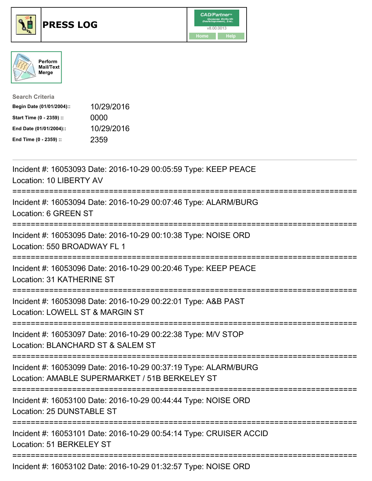





| <b>Search Criteria</b>    |            |
|---------------------------|------------|
| Begin Date (01/01/2004):: | 10/29/2016 |
| Start Time (0 - 2359) ::  | 0000       |
| End Date (01/01/2004)::   | 10/29/2016 |
| End Time (0 - 2359) ::    | 2359       |

| Incident #: 16053093 Date: 2016-10-29 00:05:59 Type: KEEP PEACE<br>Location: 10 LIBERTY AV                                          |
|-------------------------------------------------------------------------------------------------------------------------------------|
| Incident #: 16053094 Date: 2016-10-29 00:07:46 Type: ALARM/BURG<br>Location: 6 GREEN ST                                             |
| Incident #: 16053095 Date: 2016-10-29 00:10:38 Type: NOISE ORD<br>Location: 550 BROADWAY FL 1<br>-----------                        |
| Incident #: 16053096 Date: 2016-10-29 00:20:46 Type: KEEP PEACE<br>Location: 31 KATHERINE ST<br>----------------------------------- |
| Incident #: 16053098 Date: 2016-10-29 00:22:01 Type: A&B PAST<br>Location: LOWELL ST & MARGIN ST                                    |
| Incident #: 16053097 Date: 2016-10-29 00:22:38 Type: M/V STOP<br>Location: BLANCHARD ST & SALEM ST                                  |
| Incident #: 16053099 Date: 2016-10-29 00:37:19 Type: ALARM/BURG<br>Location: AMABLE SUPERMARKET / 51B BERKELEY ST                   |
| Incident #: 16053100 Date: 2016-10-29 00:44:44 Type: NOISE ORD<br>Location: 25 DUNSTABLE ST                                         |
| Incident #: 16053101 Date: 2016-10-29 00:54:14 Type: CRUISER ACCID<br>Location: 51 BERKELEY ST                                      |
| :=====================================<br>Incident #: 16053102 Date: 2016-10-29 01:32:57 Type: NOISE ORD                            |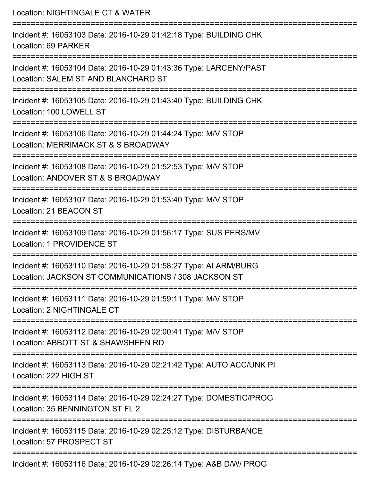Location: NIGHTINGALE CT & WATER =========================================================================== Incident #: 16053103 Date: 2016-10-29 01:42:18 Type: BUILDING CHK Location: 69 PARKER =========================================================================== Incident #: 16053104 Date: 2016-10-29 01:43:36 Type: LARCENY/PAST Location: SALEM ST AND BLANCHARD ST =========================================================================== Incident #: 16053105 Date: 2016-10-29 01:43:40 Type: BUILDING CHK Location: 100 LOWELL ST =========================================================================== Incident #: 16053106 Date: 2016-10-29 01:44:24 Type: M/V STOP Location: MERRIMACK ST & S BROADWAY ==================================== Incident #: 16053108 Date: 2016-10-29 01:52:53 Type: M/V STOP Location: ANDOVER ST & S BROADWAY =========================================================================== Incident #: 16053107 Date: 2016-10-29 01:53:40 Type: M/V STOP Location: 21 BEACON ST =========================================================================== Incident #: 16053109 Date: 2016-10-29 01:56:17 Type: SUS PERS/MV Location: 1 PROVIDENCE ST =========================================================================== Incident #: 16053110 Date: 2016-10-29 01:58:27 Type: ALARM/BURG Location: JACKSON ST COMMUNICATIONS / 308 JACKSON ST =========================================================================== Incident #: 16053111 Date: 2016-10-29 01:59:11 Type: M/V STOP Location: 2 NIGHTINGALE CT =========================================================================== Incident #: 16053112 Date: 2016-10-29 02:00:41 Type: M/V STOP Location: ABBOTT ST & SHAWSHEEN RD =========================================================================== Incident #: 16053113 Date: 2016-10-29 02:21:42 Type: AUTO ACC/UNK PI Location: 222 HIGH ST =========================================================================== Incident #: 16053114 Date: 2016-10-29 02:24:27 Type: DOMESTIC/PROG Location: 35 BENNINGTON ST FL 2 =========================================================================== Incident #: 16053115 Date: 2016-10-29 02:25:12 Type: DISTURBANCE Location: 57 PROSPECT ST ===========================================================================

Incident #: 16053116 Date: 2016-10-29 02:26:14 Type: A&B D/W/ PROG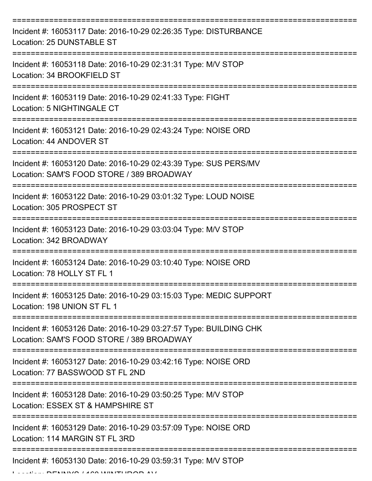| Incident #: 16053117 Date: 2016-10-29 02:26:35 Type: DISTURBANCE<br>Location: 25 DUNSTABLE ST                  |
|----------------------------------------------------------------------------------------------------------------|
| Incident #: 16053118 Date: 2016-10-29 02:31:31 Type: M/V STOP<br>Location: 34 BROOKFIELD ST                    |
| Incident #: 16053119 Date: 2016-10-29 02:41:33 Type: FIGHT<br>Location: 5 NIGHTINGALE CT                       |
| Incident #: 16053121 Date: 2016-10-29 02:43:24 Type: NOISE ORD<br>Location: 44 ANDOVER ST                      |
| Incident #: 16053120 Date: 2016-10-29 02:43:39 Type: SUS PERS/MV<br>Location: SAM'S FOOD STORE / 389 BROADWAY  |
| Incident #: 16053122 Date: 2016-10-29 03:01:32 Type: LOUD NOISE<br>Location: 305 PROSPECT ST                   |
| Incident #: 16053123 Date: 2016-10-29 03:03:04 Type: M/V STOP<br>Location: 342 BROADWAY                        |
| Incident #: 16053124 Date: 2016-10-29 03:10:40 Type: NOISE ORD<br>Location: 78 HOLLY ST FL 1                   |
| Incident #: 16053125 Date: 2016-10-29 03:15:03 Type: MEDIC SUPPORT<br>Location: 198 UNION ST FL 1              |
| Incident #: 16053126 Date: 2016-10-29 03:27:57 Type: BUILDING CHK<br>Location: SAM'S FOOD STORE / 389 BROADWAY |
| Incident #: 16053127 Date: 2016-10-29 03:42:16 Type: NOISE ORD<br>Location: 77 BASSWOOD ST FL 2ND              |
| Incident #: 16053128 Date: 2016-10-29 03:50:25 Type: M/V STOP<br>Location: ESSEX ST & HAMPSHIRE ST             |
| Incident #: 16053129 Date: 2016-10-29 03:57:09 Type: NOISE ORD<br>Location: 114 MARGIN ST FL 3RD               |
| Incident #: 16053130 Date: 2016-10-29 03:59:31 Type: M/V STOP                                                  |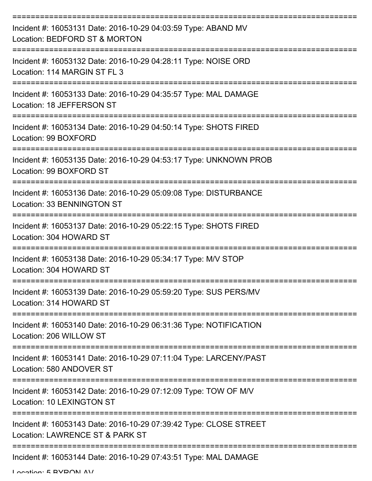| Incident #: 16053131 Date: 2016-10-29 04:03:59 Type: ABAND MV<br>Location: BEDFORD ST & MORTON       |
|------------------------------------------------------------------------------------------------------|
| Incident #: 16053132 Date: 2016-10-29 04:28:11 Type: NOISE ORD<br>Location: 114 MARGIN ST FL 3       |
| Incident #: 16053133 Date: 2016-10-29 04:35:57 Type: MAL DAMAGE<br>Location: 18 JEFFERSON ST         |
| Incident #: 16053134 Date: 2016-10-29 04:50:14 Type: SHOTS FIRED<br>Location: 99 BOXFORD             |
| Incident #: 16053135 Date: 2016-10-29 04:53:17 Type: UNKNOWN PROB<br>Location: 99 BOXFORD ST         |
| Incident #: 16053136 Date: 2016-10-29 05:09:08 Type: DISTURBANCE<br>Location: 33 BENNINGTON ST       |
| Incident #: 16053137 Date: 2016-10-29 05:22:15 Type: SHOTS FIRED<br>Location: 304 HOWARD ST          |
| Incident #: 16053138 Date: 2016-10-29 05:34:17 Type: M/V STOP<br>Location: 304 HOWARD ST             |
| Incident #: 16053139 Date: 2016-10-29 05:59:20 Type: SUS PERS/MV<br>Location: 314 HOWARD ST          |
| Incident #: 16053140 Date: 2016-10-29 06:31:36 Type: NOTIFICATION<br>Location: 206 WILLOW ST         |
| Incident #: 16053141 Date: 2016-10-29 07:11:04 Type: LARCENY/PAST<br>Location: 580 ANDOVER ST        |
| Incident #: 16053142 Date: 2016-10-29 07:12:09 Type: TOW OF M/V<br><b>Location: 10 LEXINGTON ST</b>  |
| Incident #: 16053143 Date: 2016-10-29 07:39:42 Type: CLOSE STREET<br>Location: LAWRENCE ST & PARK ST |
| Incident #: 16053144 Date: 2016-10-29 07:43:51 Type: MAL DAMAGE                                      |

Location: 5 BYRON AV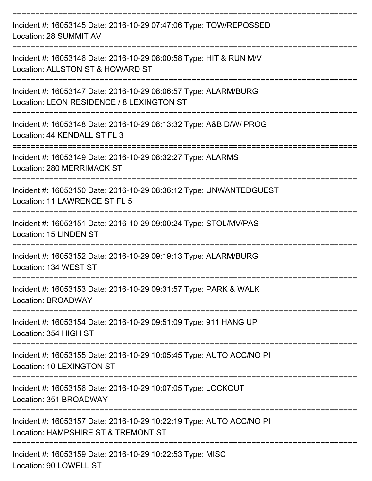| Incident #: 16053145 Date: 2016-10-29 07:47:06 Type: TOW/REPOSSED<br>Location: 28 SUMMIT AV                   |
|---------------------------------------------------------------------------------------------------------------|
| Incident #: 16053146 Date: 2016-10-29 08:00:58 Type: HIT & RUN M/V<br>Location: ALLSTON ST & HOWARD ST        |
| Incident #: 16053147 Date: 2016-10-29 08:06:57 Type: ALARM/BURG<br>Location: LEON RESIDENCE / 8 LEXINGTON ST  |
| Incident #: 16053148 Date: 2016-10-29 08:13:32 Type: A&B D/W/ PROG<br>Location: 44 KENDALL ST FL 3            |
| Incident #: 16053149 Date: 2016-10-29 08:32:27 Type: ALARMS<br>Location: 280 MERRIMACK ST                     |
| Incident #: 16053150 Date: 2016-10-29 08:36:12 Type: UNWANTEDGUEST<br>Location: 11 LAWRENCE ST FL 5           |
| Incident #: 16053151 Date: 2016-10-29 09:00:24 Type: STOL/MV/PAS<br>Location: 15 LINDEN ST                    |
| Incident #: 16053152 Date: 2016-10-29 09:19:13 Type: ALARM/BURG<br>Location: 134 WEST ST                      |
| Incident #: 16053153 Date: 2016-10-29 09:31:57 Type: PARK & WALK<br>Location: BROADWAY                        |
| ================<br>Incident #: 16053154 Date: 2016-10-29 09:51:09 Type: 911 HANG UP<br>Location: 354 HIGH ST |
| Incident #: 16053155 Date: 2016-10-29 10:05:45 Type: AUTO ACC/NO PI<br>Location: 10 LEXINGTON ST              |
| Incident #: 16053156 Date: 2016-10-29 10:07:05 Type: LOCKOUT<br>Location: 351 BROADWAY                        |
| Incident #: 16053157 Date: 2016-10-29 10:22:19 Type: AUTO ACC/NO PI<br>Location: HAMPSHIRE ST & TREMONT ST    |
| Incident #: 16053159 Date: 2016-10-29 10:22:53 Type: MISC                                                     |

Location: 90 LOWELL ST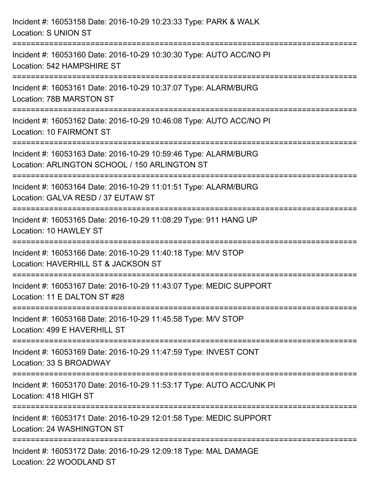| Incident #: 16053158 Date: 2016-10-29 10:23:33 Type: PARK & WALK<br><b>Location: S UNION ST</b>                  |
|------------------------------------------------------------------------------------------------------------------|
| Incident #: 16053160 Date: 2016-10-29 10:30:30 Type: AUTO ACC/NO PI<br>Location: 542 HAMPSHIRE ST                |
| Incident #: 16053161 Date: 2016-10-29 10:37:07 Type: ALARM/BURG<br>Location: 78B MARSTON ST                      |
| Incident #: 16053162 Date: 2016-10-29 10:46:08 Type: AUTO ACC/NO PI<br>Location: 10 FAIRMONT ST                  |
| Incident #: 16053163 Date: 2016-10-29 10:59:46 Type: ALARM/BURG<br>Location: ARLINGTON SCHOOL / 150 ARLINGTON ST |
| Incident #: 16053164 Date: 2016-10-29 11:01:51 Type: ALARM/BURG<br>Location: GALVA RESD / 37 EUTAW ST            |
| Incident #: 16053165 Date: 2016-10-29 11:08:29 Type: 911 HANG UP<br>Location: 10 HAWLEY ST                       |
| Incident #: 16053166 Date: 2016-10-29 11:40:18 Type: M/V STOP<br>Location: HAVERHILL ST & JACKSON ST             |
| Incident #: 16053167 Date: 2016-10-29 11:43:07 Type: MEDIC SUPPORT<br>Location: 11 E DALTON ST #28               |
| Incident #: 16053168 Date: 2016-10-29 11:45:58 Type: M/V STOP<br>Location: 499 E HAVERHILL ST                    |
| Incident #: 16053169 Date: 2016-10-29 11:47:59 Type: INVEST CONT<br>Location: 33 S BROADWAY                      |
| Incident #: 16053170 Date: 2016-10-29 11:53:17 Type: AUTO ACC/UNK PI<br>Location: 418 HIGH ST                    |
| Incident #: 16053171 Date: 2016-10-29 12:01:58 Type: MEDIC SUPPORT<br>Location: 24 WASHINGTON ST                 |
| Incident #: 16053172 Date: 2016-10-29 12:09:18 Type: MAL DAMAGE<br>Location: 22 WOODLAND ST                      |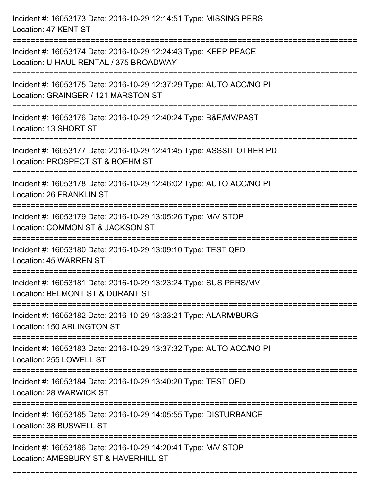| Incident #: 16053173 Date: 2016-10-29 12:14:51 Type: MISSING PERS<br>Location: 47 KENT ST                                        |
|----------------------------------------------------------------------------------------------------------------------------------|
| Incident #: 16053174 Date: 2016-10-29 12:24:43 Type: KEEP PEACE<br>Location: U-HAUL RENTAL / 375 BROADWAY                        |
| Incident #: 16053175 Date: 2016-10-29 12:37:29 Type: AUTO ACC/NO PI<br>Location: GRAINGER / 121 MARSTON ST                       |
| Incident #: 16053176 Date: 2016-10-29 12:40:24 Type: B&E/MV/PAST<br>Location: 13 SHORT ST                                        |
| Incident #: 16053177 Date: 2016-10-29 12:41:45 Type: ASSSIT OTHER PD<br>Location: PROSPECT ST & BOEHM ST<br>==================== |
| Incident #: 16053178 Date: 2016-10-29 12:46:02 Type: AUTO ACC/NO PI<br>Location: 26 FRANKLIN ST                                  |
| Incident #: 16053179 Date: 2016-10-29 13:05:26 Type: M/V STOP<br>Location: COMMON ST & JACKSON ST                                |
| Incident #: 16053180 Date: 2016-10-29 13:09:10 Type: TEST QED<br>Location: 45 WARREN ST                                          |
| Incident #: 16053181 Date: 2016-10-29 13:23:24 Type: SUS PERS/MV<br>Location: BELMONT ST & DURANT ST                             |
| Incident #: 16053182 Date: 2016-10-29 13:33:21 Type: ALARM/BURG<br>Location: 150 ARLINGTON ST                                    |
| Incident #: 16053183 Date: 2016-10-29 13:37:32 Type: AUTO ACC/NO PI<br>Location: 255 LOWELL ST                                   |
| Incident #: 16053184 Date: 2016-10-29 13:40:20 Type: TEST QED<br>Location: 28 WARWICK ST                                         |
| Incident #: 16053185 Date: 2016-10-29 14:05:55 Type: DISTURBANCE<br>Location: 38 BUSWELL ST                                      |
| Incident #: 16053186 Date: 2016-10-29 14:20:41 Type: M/V STOP<br>Location: AMESBURY ST & HAVERHILL ST                            |

===========================================================================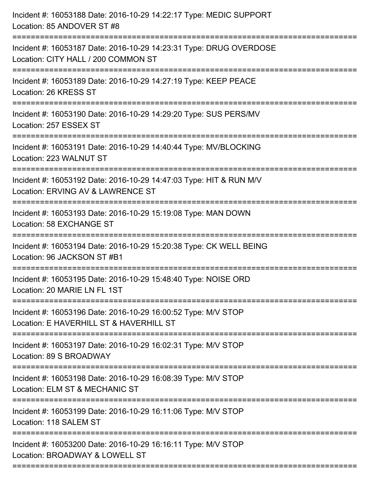| Incident #: 16053188 Date: 2016-10-29 14:22:17 Type: MEDIC SUPPORT<br>Location: 85 ANDOVER ST #8          |
|-----------------------------------------------------------------------------------------------------------|
| Incident #: 16053187 Date: 2016-10-29 14:23:31 Type: DRUG OVERDOSE<br>Location: CITY HALL / 200 COMMON ST |
| Incident #: 16053189 Date: 2016-10-29 14:27:19 Type: KEEP PEACE<br>Location: 26 KRESS ST                  |
| Incident #: 16053190 Date: 2016-10-29 14:29:20 Type: SUS PERS/MV<br>Location: 257 ESSEX ST                |
| Incident #: 16053191 Date: 2016-10-29 14:40:44 Type: MV/BLOCKING<br>Location: 223 WALNUT ST               |
| Incident #: 16053192 Date: 2016-10-29 14:47:03 Type: HIT & RUN M/V<br>Location: ERVING AV & LAWRENCE ST   |
| Incident #: 16053193 Date: 2016-10-29 15:19:08 Type: MAN DOWN<br>Location: 58 EXCHANGE ST                 |
| Incident #: 16053194 Date: 2016-10-29 15:20:38 Type: CK WELL BEING<br>Location: 96 JACKSON ST #B1         |
| Incident #: 16053195 Date: 2016-10-29 15:48:40 Type: NOISE ORD<br>Location: 20 MARIE LN FL 1ST            |
| Incident #: 16053196 Date: 2016-10-29 16:00:52 Type: M/V STOP<br>Location: E HAVERHILL ST & HAVERHILL ST  |
| Incident #: 16053197 Date: 2016-10-29 16:02:31 Type: M/V STOP<br>Location: 89 S BROADWAY                  |
| Incident #: 16053198 Date: 2016-10-29 16:08:39 Type: M/V STOP<br>Location: ELM ST & MECHANIC ST           |
| Incident #: 16053199 Date: 2016-10-29 16:11:06 Type: M/V STOP<br>Location: 118 SALEM ST                   |
| Incident #: 16053200 Date: 2016-10-29 16:16:11 Type: M/V STOP<br>Location: BROADWAY & LOWELL ST           |
|                                                                                                           |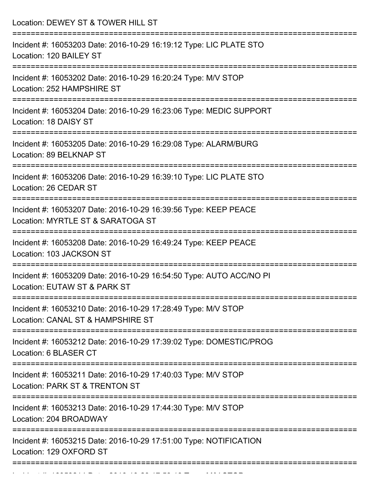Location: DEWEY ST & TOWER HILL ST =========================================================================== Incident #: 16053203 Date: 2016-10-29 16:19:12 Type: LIC PLATE STO Location: 120 BAILEY ST =========================================================================== Incident #: 16053202 Date: 2016-10-29 16:20:24 Type: M/V STOP Location: 252 HAMPSHIRE ST =========================================================================== Incident #: 16053204 Date: 2016-10-29 16:23:06 Type: MEDIC SUPPORT Location: 18 DAISY ST =========================================================================== Incident #: 16053205 Date: 2016-10-29 16:29:08 Type: ALARM/BURG Location: 89 BELKNAP ST =========================================================================== Incident #: 16053206 Date: 2016-10-29 16:39:10 Type: LIC PLATE STO Location: 26 CEDAR ST =========================================================================== Incident #: 16053207 Date: 2016-10-29 16:39:56 Type: KEEP PEACE Location: MYRTLE ST & SARATOGA ST =========================================================================== Incident #: 16053208 Date: 2016-10-29 16:49:24 Type: KEEP PEACE Location: 103 JACKSON ST =========================================================================== Incident #: 16053209 Date: 2016-10-29 16:54:50 Type: AUTO ACC/NO PI Location: EUTAW ST & PARK ST =========================================================================== Incident #: 16053210 Date: 2016-10-29 17:28:49 Type: M/V STOP Location: CANAL ST & HAMPSHIRE ST =========================================================================== Incident #: 16053212 Date: 2016-10-29 17:39:02 Type: DOMESTIC/PROG Location: 6 BLASER CT =========================================================================== Incident #: 16053211 Date: 2016-10-29 17:40:03 Type: M/V STOP Location: PARK ST & TRENTON ST =========================================================================== Incident #: 16053213 Date: 2016-10-29 17:44:30 Type: M/V STOP Location: 204 BROADWAY =========================================================================== Incident #: 16053215 Date: 2016-10-29 17:51:00 Type: NOTIFICATION Location: 129 OXFORD ST ===========================================================================

Incident #: 16053214 Date: 2016 10 29 17:53:19 Type: M/V STOP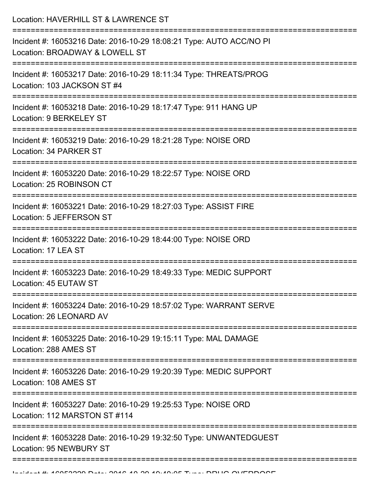Location: HAVERHILL ST & LAWRENCE ST

| Incident #: 16053216 Date: 2016-10-29 18:08:21 Type: AUTO ACC/NO PI<br>Location: BROADWAY & LOWELL ST |
|-------------------------------------------------------------------------------------------------------|
| Incident #: 16053217 Date: 2016-10-29 18:11:34 Type: THREATS/PROG<br>Location: 103 JACKSON ST #4      |
| Incident #: 16053218 Date: 2016-10-29 18:17:47 Type: 911 HANG UP<br>Location: 9 BERKELEY ST           |
| Incident #: 16053219 Date: 2016-10-29 18:21:28 Type: NOISE ORD<br>Location: 34 PARKER ST              |
| Incident #: 16053220 Date: 2016-10-29 18:22:57 Type: NOISE ORD<br>Location: 25 ROBINSON CT            |
| Incident #: 16053221 Date: 2016-10-29 18:27:03 Type: ASSIST FIRE<br>Location: 5 JEFFERSON ST          |
| Incident #: 16053222 Date: 2016-10-29 18:44:00 Type: NOISE ORD<br>Location: 17 LEA ST                 |
| Incident #: 16053223 Date: 2016-10-29 18:49:33 Type: MEDIC SUPPORT<br>Location: 45 EUTAW ST           |
| Incident #: 16053224 Date: 2016-10-29 18:57:02 Type: WARRANT SERVE<br>Location: 26 LEONARD AV         |
| Incident #: 16053225 Date: 2016-10-29 19:15:11 Type: MAL DAMAGE<br>Location: 288 AMES ST              |
| Incident #: 16053226 Date: 2016-10-29 19:20:39 Type: MEDIC SUPPORT<br>Location: 108 AMES ST           |
| Incident #: 16053227 Date: 2016-10-29 19:25:53 Type: NOISE ORD<br>Location: 112 MARSTON ST #114       |
| Incident #: 16053228 Date: 2016-10-29 19:32:50 Type: UNWANTEDGUEST<br><b>Location: 95 NEWBURY ST</b>  |
|                                                                                                       |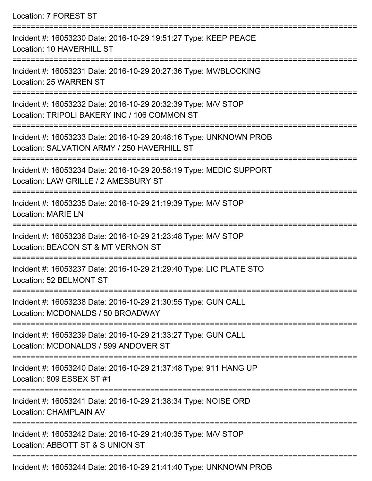Location: 7 FOREST ST =========================================================================== Incident #: 16053230 Date: 2016-10-29 19:51:27 Type: KEEP PEACE Location: 10 HAVERHILL ST =========================================================================== Incident #: 16053231 Date: 2016-10-29 20:27:36 Type: MV/BLOCKING Location: 25 WARREN ST =========================================================================== Incident #: 16053232 Date: 2016-10-29 20:32:39 Type: M/V STOP Location: TRIPOLI BAKERY INC / 106 COMMON ST =========================================================================== Incident #: 16053233 Date: 2016-10-29 20:48:16 Type: UNKNOWN PROB Location: SALVATION ARMY / 250 HAVERHILL ST =========================================================================== Incident #: 16053234 Date: 2016-10-29 20:58:19 Type: MEDIC SUPPORT Location: LAW GRILLE / 2 AMESBURY ST =========================================================================== Incident #: 16053235 Date: 2016-10-29 21:19:39 Type: M/V STOP Location: MARIE LN =========================================================================== Incident #: 16053236 Date: 2016-10-29 21:23:48 Type: M/V STOP Location: BEACON ST & MT VERNON ST =========================================================================== Incident #: 16053237 Date: 2016-10-29 21:29:40 Type: LIC PLATE STO Location: 52 BELMONT ST =========================================================================== Incident #: 16053238 Date: 2016-10-29 21:30:55 Type: GUN CALL Location: MCDONALDS / 50 BROADWAY =========================================================================== Incident #: 16053239 Date: 2016-10-29 21:33:27 Type: GUN CALL Location: MCDONALDS / 599 ANDOVER ST =========================================================================== Incident #: 16053240 Date: 2016-10-29 21:37:48 Type: 911 HANG UP Location: 809 ESSEX ST #1 =========================================================================== Incident #: 16053241 Date: 2016-10-29 21:38:34 Type: NOISE ORD Location: CHAMPLAIN AV =========================================================================== Incident #: 16053242 Date: 2016-10-29 21:40:35 Type: M/V STOP Location: ABBOTT ST & S UNION ST ===========================================================================

Incident #: 16053244 Date: 2016-10-29 21:41:40 Type: UNKNOWN PROB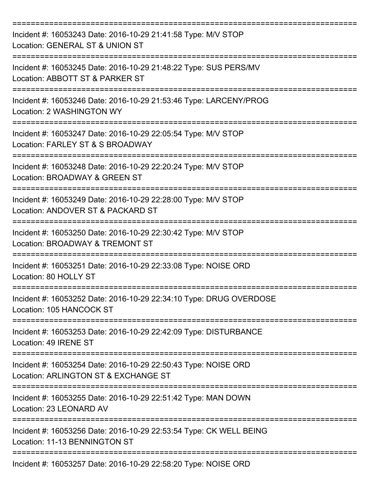| Incident #: 16053243 Date: 2016-10-29 21:41:58 Type: M/V STOP<br>Location: GENERAL ST & UNION ST       |
|--------------------------------------------------------------------------------------------------------|
| Incident #: 16053245 Date: 2016-10-29 21:48:22 Type: SUS PERS/MV<br>Location: ABBOTT ST & PARKER ST    |
| Incident #: 16053246 Date: 2016-10-29 21:53:46 Type: LARCENY/PROG<br>Location: 2 WASHINGTON WY         |
| Incident #: 16053247 Date: 2016-10-29 22:05:54 Type: M/V STOP<br>Location: FARLEY ST & S BROADWAY      |
| Incident #: 16053248 Date: 2016-10-29 22:20:24 Type: M/V STOP<br>Location: BROADWAY & GREEN ST         |
| Incident #: 16053249 Date: 2016-10-29 22:28:00 Type: M/V STOP<br>Location: ANDOVER ST & PACKARD ST     |
| Incident #: 16053250 Date: 2016-10-29 22:30:42 Type: M/V STOP<br>Location: BROADWAY & TREMONT ST       |
| Incident #: 16053251 Date: 2016-10-29 22:33:08 Type: NOISE ORD<br>Location: 80 HOLLY ST                |
| Incident #: 16053252 Date: 2016-10-29 22:34:10 Type: DRUG OVERDOSE<br>Location: 105 HANCOCK ST         |
| Incident #: 16053253 Date: 2016-10-29 22:42:09 Type: DISTURBANCE<br>Location: 49 IRENE ST              |
| Incident #: 16053254 Date: 2016-10-29 22:50:43 Type: NOISE ORD<br>Location: ARLINGTON ST & EXCHANGE ST |
| Incident #: 16053255 Date: 2016-10-29 22:51:42 Type: MAN DOWN<br>Location: 23 LEONARD AV               |
| Incident #: 16053256 Date: 2016-10-29 22:53:54 Type: CK WELL BEING<br>Location: 11-13 BENNINGTON ST    |
| Incident #: 16053257 Date: 2016-10-29 22:58:20 Type: NOISE ORD                                         |